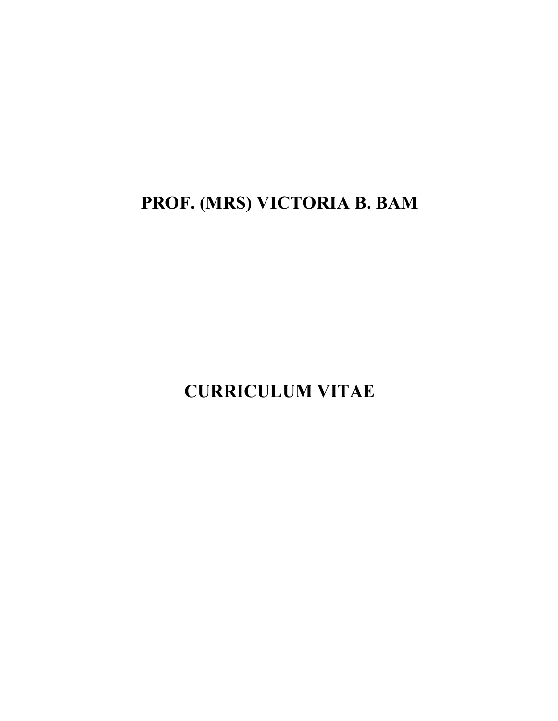**PROF. (MRS) VICTORIA B. BAM** 

**CURRICULUM VITAE**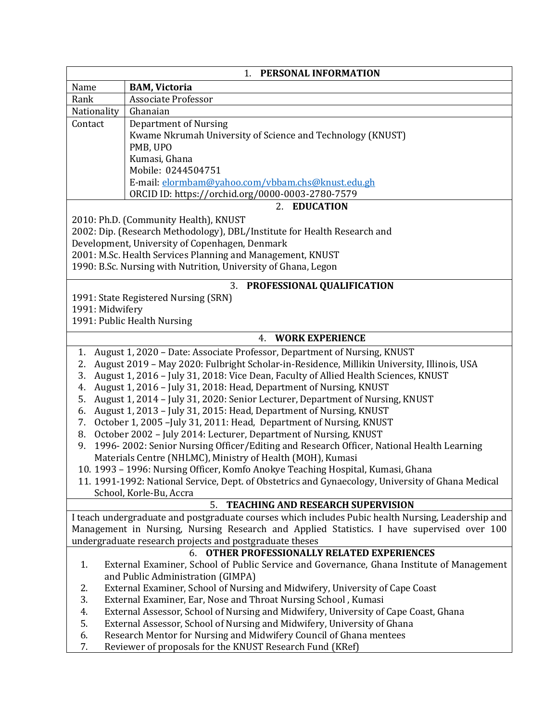|                 | PERSONAL INFORMATION<br>1.                                                                                                                            |
|-----------------|-------------------------------------------------------------------------------------------------------------------------------------------------------|
| Name            | <b>BAM, Victoria</b>                                                                                                                                  |
| Rank            | <b>Associate Professor</b>                                                                                                                            |
| Nationality     | Ghanaian                                                                                                                                              |
| Contact         | <b>Department of Nursing</b>                                                                                                                          |
|                 | Kwame Nkrumah University of Science and Technology (KNUST)                                                                                            |
|                 | PMB, UPO                                                                                                                                              |
|                 | Kumasi, Ghana                                                                                                                                         |
|                 | Mobile: 0244504751                                                                                                                                    |
|                 | E-mail: elormbam@yahoo.com/vbbam.chs@knust.edu.gh                                                                                                     |
|                 | ORCID ID: https://orchid.org/0000-0003-2780-7579                                                                                                      |
|                 | 2. EDUCATION                                                                                                                                          |
|                 | 2010: Ph.D. (Community Health), KNUST                                                                                                                 |
|                 | 2002: Dip. (Research Methodology), DBL/Institute for Health Research and                                                                              |
|                 | Development, University of Copenhagen, Denmark                                                                                                        |
|                 | 2001: M.Sc. Health Services Planning and Management, KNUST                                                                                            |
|                 | 1990: B.Sc. Nursing with Nutrition, University of Ghana, Legon                                                                                        |
|                 |                                                                                                                                                       |
|                 | 3. PROFESSIONAL QUALIFICATION                                                                                                                         |
| 1991: Midwifery | 1991: State Registered Nursing (SRN)                                                                                                                  |
|                 | 1991: Public Health Nursing                                                                                                                           |
|                 |                                                                                                                                                       |
|                 | <b>WORK EXPERIENCE</b><br>4.                                                                                                                          |
| 1.              | August 1, 2020 - Date: Associate Professor, Department of Nursing, KNUST                                                                              |
| 2.              | August 2019 - May 2020: Fulbright Scholar-in-Residence, Millikin University, Illinois, USA                                                            |
| 3.              | August 1, 2016 - July 31, 2018: Vice Dean, Faculty of Allied Health Sciences, KNUST                                                                   |
| 4.              | August 1, 2016 - July 31, 2018: Head, Department of Nursing, KNUST                                                                                    |
| 5.              | August 1, 2014 - July 31, 2020: Senior Lecturer, Department of Nursing, KNUST                                                                         |
| 6.              | August 1, 2013 - July 31, 2015: Head, Department of Nursing, KNUST                                                                                    |
| 7.              | October 1, 2005 - July 31, 2011: Head, Department of Nursing, KNUST                                                                                   |
| 8.              | October 2002 - July 2014: Lecturer, Department of Nursing, KNUST                                                                                      |
| 9.              | 1996-2002: Senior Nursing Officer/Editing and Research Officer, National Health Learning                                                              |
|                 | Materials Centre (NHLMC), Ministry of Health (MOH), Kumasi                                                                                            |
|                 | 10. 1993 - 1996: Nursing Officer, Komfo Anokye Teaching Hospital, Kumasi, Ghana                                                                       |
|                 | 11. 1991-1992: National Service, Dept. of Obstetrics and Gynaecology, University of Ghana Medical                                                     |
|                 | School, Korle-Bu, Accra                                                                                                                               |
|                 | <b>TEACHING AND RESEARCH SUPERVISION</b><br>5.                                                                                                        |
|                 | I teach undergraduate and postgraduate courses which includes Pubic health Nursing, Leadership and                                                    |
|                 | Management in Nursing, Nursing Research and Applied Statistics. I have supervised over 100                                                            |
|                 | undergraduate research projects and postgraduate theses                                                                                               |
|                 | 6. OTHER PROFESSIONALLY RELATED EXPERIENCES                                                                                                           |
| 1.              | External Examiner, School of Public Service and Governance, Ghana Institute of Management                                                             |
|                 | and Public Administration (GIMPA)                                                                                                                     |
| 2.<br>3.        | External Examiner, School of Nursing and Midwifery, University of Cape Coast                                                                          |
| 4.              | External Examiner, Ear, Nose and Throat Nursing School, Kumasi<br>External Assessor, School of Nursing and Midwifery, University of Cape Coast, Ghana |
| 5.              | External Assessor, School of Nursing and Midwifery, University of Ghana                                                                               |
| 6.              | Research Mentor for Nursing and Midwifery Council of Ghana mentees                                                                                    |
| 7.              | Reviewer of proposals for the KNUST Research Fund (KRef)                                                                                              |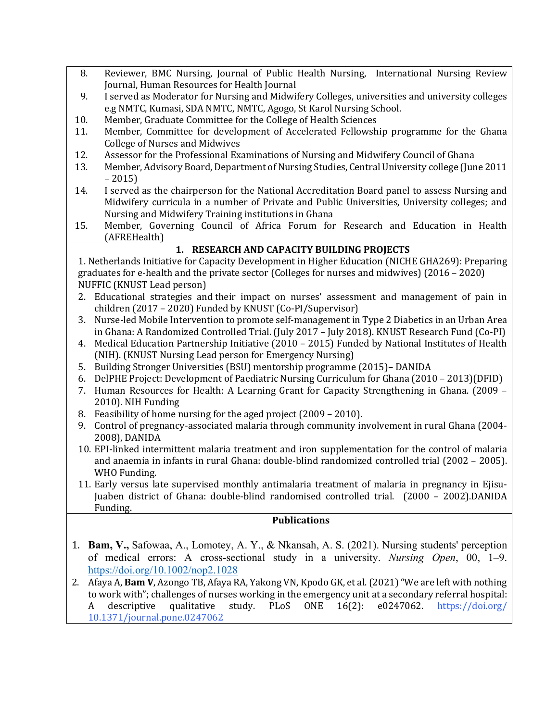- 8. Reviewer, BMC Nursing, Journal of Public Health Nursing, International Nursing Review Journal, Human Resources for Health Journal
- 9. I served as Moderator for Nursing and Midwifery Colleges, universities and university colleges e.g NMTC, Kumasi, SDA NMTC, NMTC, Agogo, St Karol Nursing School.
- 10. Member, Graduate Committee for the College of Health Sciences
- 11. Member, Committee for development of Accelerated Fellowship programme for the Ghana College of Nurses and Midwives
- 12. Assessor for the Professional Examinations of Nursing and Midwifery Council of Ghana
- 13. Member, Advisory Board, Department of Nursing Studies, Central University college (June 2011) – 2015)
- 14. I served as the chairperson for the National Accreditation Board panel to assess Nursing and Midwifery curricula in a number of Private and Public Universities, University colleges; and Nursing and Midwifery Training institutions in Ghana
- 15. Member, Governing Council of Africa Forum for Research and Education in Health (AFREHealth)

## **1. RESEARCH AND CAPACITY BUILDING PROJECTS**

1. Netherlands Initiative for Capacity Development in Higher Education (NICHE GHA269): Preparing graduates for e-health and the private sector (Colleges for nurses and midwives)  $(2016 - 2020)$ NUFFIC (KNUST Lead person)

- 2. Educational strategies and their impact on nurses' assessment and management of pain in children (2017 – 2020) Funded by KNUST (Co-PI/Supervisor)
- 3. Nurse-led Mobile Intervention to promote self-management in Type 2 Diabetics in an Urban Area in Ghana: A Randomized Controlled Trial. (July 2017 - July 2018). KNUST Research Fund (Co-PI)
- 4. Medical Education Partnership Initiative (2010 2015) Funded by National Institutes of Health (NIH). (KNUST Nursing Lead person for Emergency Nursing)
- 5. Building Stronger Universities (BSU) mentorship programme (2015)– DANIDA
- 6. DelPHE Project: Development of Paediatric Nursing Curriculum for Ghana  $(2010 2013)(DFID)$
- 7. Human Resources for Health: A Learning Grant for Capacity Strengthening in Ghana. (2009 -2010). NIH Funding
- 8. Feasibility of home nursing for the aged project (2009 2010).
- 9. Control of pregnancy-associated malaria through community involvement in rural Ghana (2004-2008), DANIDA
- 10. EPI-linked intermittent malaria treatment and iron supplementation for the control of malaria and anaemia in infants in rural Ghana: double-blind randomized controlled trial (2002 - 2005). WHO Funding.
- 11. Early versus late supervised monthly antimalaria treatment of malaria in pregnancy in Ejisu-Juaben district of Ghana: double-blind randomised controlled trial. (2000 – 2002).DANIDA Funding.

## **Publications**

- 1. **Bam, V.,** Safowaa, A., Lomotey, A. Y., & Nkansah, A. S. (2021). Nursing students' perception of medical errors: A cross-sectional study in a university. *Nursing Open*, 00, 1–9. https://doi.org/10.1002/nop2.1028
- 2. Afaya A, **Bam V**, Azongo TB, Afaya RA, Yakong VN, Kpodo GK, et al. (2021) "We are left with nothing to work with"; challenges of nurses working in the emergency unit at a secondary referral hospital: A descriptive qualitative study. PLoS ONE 16(2): e0247062. https://doi.org/ 10.1371/journal.pone.0247062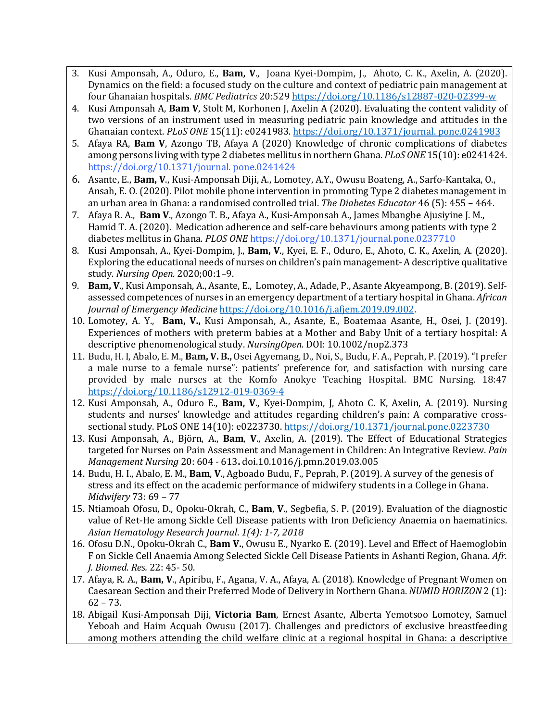- 3. Kusi Amponsah, A., Oduro, E., **Bam, V**., Joana Kyei-Dompim, J., Ahoto, C. K., Axelin, A. (2020). Dynamics on the field: a focused study on the culture and context of pediatric pain management at four Ghanaian hospitals. *BMC Pediatrics* 20:529 https://doi.org/10.1186/s12887-020-02399-w
- 4. Kusi Amponsah A, **Bam V**, Stolt M, Korhonen J, Axelin A (2020). Evaluating the content validity of two versions of an instrument used in measuring pediatric pain knowledge and attitudes in the Ghanaian context. *PLoS ONE* 15(11): e0241983. https://doi.org/10.1371/journal. pone.0241983
- 5. Afaya RA, Bam V, Azongo TB, Afaya A (2020) Knowledge of chronic complications of diabetes among persons living with type 2 diabetes mellitus in northern Ghana. *PLoS ONE* 15(10): e0241424. https://doi.org/10.1371/journal.pone.0241424
- 6. Asante, E., **Bam, V**., Kusi-Amponsah Diji, A., Lomotey, A.Y., Owusu Boateng, A., Sarfo-Kantaka, O., Ansah, E. O. (2020). Pilot mobile phone intervention in promoting Type 2 diabetes management in an urban area in Ghana: a randomised controlled trial. *The Diabetes Educator* 46 (5): 455 – 464.
- 7. Afaya R. A., **Bam V.**, Azongo T. B., Afaya A., Kusi-Amponsah A., James Mbangbe Ajusiyine J. M., Hamid T. A. (2020). Medication adherence and self-care behaviours among patients with type 2 diabetes mellitus in Ghana. *PLOS ONE* https://doi.org/10.1371/journal.pone.0237710
- 8. Kusi Amponsah, A., Kyei-Dompim, J., **Bam, V**., Kyei, E. F., Oduro, E., Ahoto, C. K., Axelin, A. (2020). Exploring the educational needs of nurses on children's pain management- A descriptive qualitative study. *Nursing Open.* 2020;00:1–9.
- 9. **Bam, V.**, Kusi Amponsah, A., Asante, E., Lomotey, A., Adade, P., Asante Akyeampong, B. (2019). Selfassessed competences of nurses in an emergency department of a tertiary hospital in Ghana. *African Journal of Emergency Medicine* https://doi.org/10.1016/j.afjem.2019.09.002.
- 10. Lomotey, A. Y., **Bam, V.,** Kusi Amponsah, A., Asante, E., Boatemaa Asante, H., Osei, J. (2019). Experiences of mothers with preterm babies at a Mother and Baby Unit of a tertiary hospital: A descriptive phenomenological study. *NursingOpen*. DOI: 10.1002/nop2.373
- 11. Budu, H. I, Abalo, E. M., **Bam, V. B.**, Osei Agyemang, D., Noi, S., Budu, F. A., Peprah, P. (2019). "I prefer a male nurse to a female nurse": patients' preference for, and satisfaction with nursing care provided by male nurses at the Komfo Anokye Teaching Hospital. BMC Nursing. 18:47 https://doi.org/10.1186/s12912-019-0369-4
- 12. Kusi Amponsah, A., Oduro E., Bam, V., Kyei-Dompim, J, Ahoto C. K, Axelin, A. (2019). Nursing students and nurses' knowledge and attitudes regarding children's pain: A comparative crosssectional study. PLoS ONE 14(10): e0223730. https://doi.org/10.1371/journal.pone.0223730
- 13. Kusi Amponsah, A., Björn, A., Bam, V., Axelin, A. (2019). The Effect of Educational Strategies targeted for Nurses on Pain Assessment and Management in Children: An Integrative Review. *Pain Management Nursing* 20: 604 - 613**.** doi.10.1016/j.pmn.2019.03.005
- 14. Budu, H. I., Abalo, E. M., **Bam, V.**, Agboado Budu, F., Peprah, P. (2019). A survey of the genesis of stress and its effect on the academic performance of midwifery students in a College in Ghana. *Midwifery* 73: 69 – 77
- 15. Ntiamoah Ofosu, D., Opoku-Okrah, C., **Bam**, V., Segbefia, S. P. (2019). Evaluation of the diagnostic value of Ret-He among Sickle Cell Disease patients with Iron Deficiency Anaemia on haematinics. *Asian Hematology Research Journal*. *1(4): 1-7, 2018*
- 16. Ofosu D.N., Opoku-Okrah C., **Bam V.**, Owusu E., Nyarko E. (2019). Level and Effect of Haemoglobin F on Sickle Cell Anaemia Among Selected Sickle Cell Disease Patients in Ashanti Region, Ghana. Afr. *J. Biomed. Res.* 22: 45- 50.
- 17. Afaya, R. A., **Bam, V.**, Apiribu, F., Agana, V. A., Afaya, A. (2018). Knowledge of Pregnant Women on Caesarean Section and their Preferred Mode of Delivery in Northern Ghana. *NUMID HORIZON* 2 (1):  $62 - 73.$
- 18. Abigail Kusi-Amponsah Diji, **Victoria Bam**, Ernest Asante, Alberta Yemotsoo Lomotey, Samuel Yeboah and Haim Acquah Owusu (2017). Challenges and predictors of exclusive breastfeeding among mothers attending the child welfare clinic at a regional hospital in Ghana: a descriptive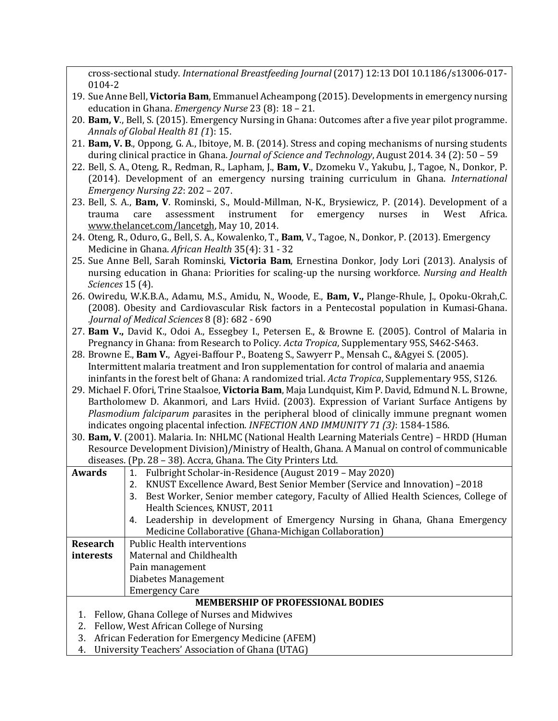cross-sectional study. *International Breastfeeding Journal* (2017) 12:13 DOI 10.1186/s13006-017- 0104-2

- 19. Sue Anne Bell, Victoria Bam, Emmanuel Acheampong (2015). Developments in emergency nursing education in Ghana. *Emergency Nurse* 23 (8): 18 - 21.
- 20. **Bam, V**., Bell, S. (2015). Emergency Nursing in Ghana: Outcomes after a five year pilot programme. *Annals of Global Health 81 (1): 15.*
- 21. **Bam, V. B.**, Oppong, G. A., Ibitoye, M. B. (2014). Stress and coping mechanisms of nursing students during clinical practice in Ghana. *Journal of Science and Technology*, August 2014. 34 (2): 50 - 59
- 22. Bell, S. A., Oteng, R., Redman, R., Lapham, J., **Bam, V**., Dzomeku V., Yakubu, J., Tagoe, N., Donkor, P. (2014). Development of an emergency nursing training curriculum in Ghana. *International Emergency Nursing 22: 202 – 207.*
- 23. Bell, S. A., Bam, V. Rominski, S., Mould-Millman, N-K., Brysiewicz, P. (2014). Development of a trauma care assessment instrument for emergency nurses in West Africa. www.thelancet.com/lancetgh, May 10, 2014.
- 24. Oteng, R., Oduro, G., Bell, S. A., Kowalenko, T., **Bam**, V., Tagoe, N., Donkor, P. (2013). Emergency Medicine in Ghana. *African Health* 35(4): 31 - 32
- 25. Sue Anne Bell, Sarah Rominski, **Victoria Bam**, Ernestina Donkor, Jody Lori (2013). Analysis of nursing education in Ghana: Priorities for scaling-up the nursing workforce. *Nursing and Health Sciences* 15 (4).
- 26. Owiredu, W.K.B.A., Adamu, M.S., Amidu, N., Woode, E., **Bam, V.,** Plange-Rhule, J., Opoku-Okrah,C. (2008). Obesity and Cardiovascular Risk factors in a Pentecostal population in Kumasi-Ghana. .*Journal of Medical Sciences* 8 (8): 682 - 690
- 27. **Bam V.,** David K., Odoi A., Essegbey I., Petersen E., & Browne E. (2005). Control of Malaria in Pregnancy in Ghana: from Research to Policy. *Acta Tropica*, Supplementary 95S, S462-S463.
- 28. Browne E., Bam V., Agyei-Baffour P., Boateng S., Sawyerr P., Mensah C., &Agyei S. (2005). Intermittent malaria treatment and Iron supplementation for control of malaria and anaemia ininfants in the forest belt of Ghana: A randomized trial. *Acta Tropica*, Supplementary 95S, S126.
- 29. Michael F. Ofori, Trine Staalsoe, **Victoria Bam**, Maja Lundquist, Kim P. David, Edmund N. L. Browne, Bartholomew D. Akanmori, and Lars Hviid. (2003). Expression of Variant Surface Antigens by *Plasmodium falciparum* parasites in the peripheral blood of clinically immune pregnant women indicates ongoing placental infection. *INFECTION AND IMMUNITY* 71 (3): 1584-1586.
- 30. **Bam, V**. (2001). Malaria. In: NHLMC (National Health Learning Materials Centre) HRDD (Human Resource Development Division)/Ministry of Health, Ghana. A Manual on control of communicable diseases. (Pp. 28 - 38). Accra, Ghana. The City Printers Ltd.

| Awards          | Fulbright Scholar-in-Residence (August 2019 - May 2020)<br>1.                            |
|-----------------|------------------------------------------------------------------------------------------|
|                 | KNUST Excellence Award, Best Senior Member (Service and Innovation) -2018<br>2.          |
|                 | Best Worker, Senior member category, Faculty of Allied Health Sciences, College of<br>3. |
|                 | Health Sciences, KNUST, 2011                                                             |
|                 | Leadership in development of Emergency Nursing in Ghana, Ghana Emergency<br>4.           |
|                 | Medicine Collaborative (Ghana-Michigan Collaboration)                                    |
| <b>Research</b> | <b>Public Health interventions</b>                                                       |
| interests       | Maternal and Childhealth                                                                 |
|                 | Pain management                                                                          |
|                 | Diabetes Management                                                                      |
|                 | <b>Emergency Care</b>                                                                    |
|                 | <b>MEMBERSHIP OF PROFESSIONAL BODIES</b>                                                 |
|                 | Fellow, Ghana College of Nurses and Midwives                                             |
| 2.              | Fellow, West African College of Nursing                                                  |
| 3.              | African Federation for Emergency Medicine (AFEM)                                         |
| 4.              | University Teachers' Association of Ghana (UTAG)                                         |